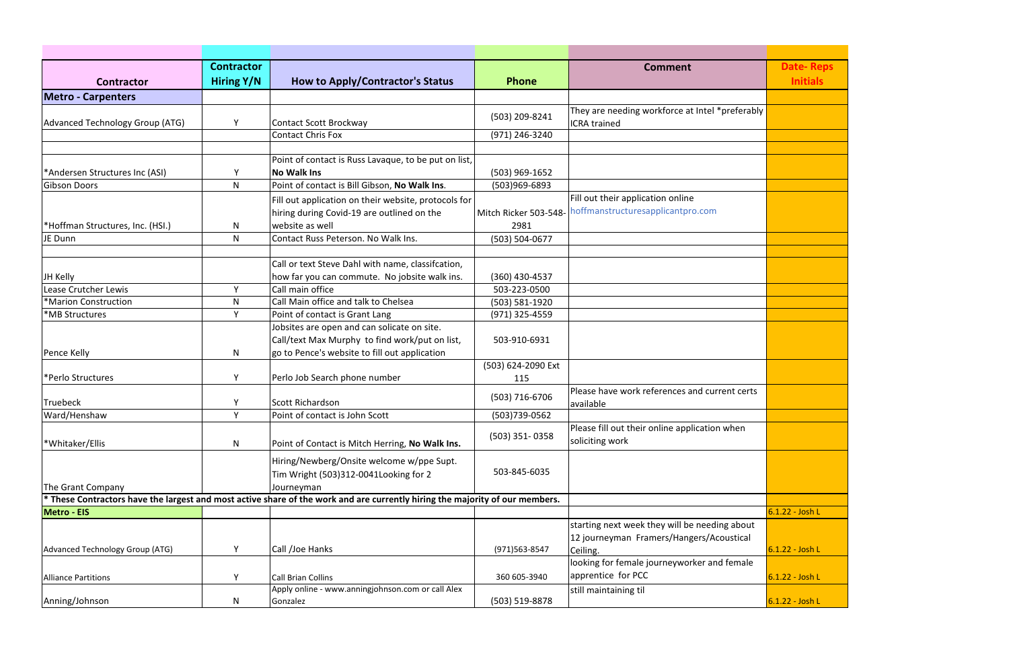|                                  | <b>Contractor</b> |                                                                                                                              |                       | <b>Comment</b>                                                   | <b>Date-Reps</b> |
|----------------------------------|-------------------|------------------------------------------------------------------------------------------------------------------------------|-----------------------|------------------------------------------------------------------|------------------|
| <b>Contractor</b>                | Hiring Y/N        | <b>How to Apply/Contractor's Status</b>                                                                                      | <b>Phone</b>          |                                                                  | <b>Initials</b>  |
| <b>Metro - Carpenters</b>        |                   |                                                                                                                              |                       |                                                                  |                  |
|                                  |                   |                                                                                                                              |                       | They are needing workforce at Intel *preferably                  |                  |
| Advanced Technology Group (ATG)  | Y                 | <b>Contact Scott Brockway</b>                                                                                                | (503) 209-8241        | <b>ICRA</b> trained                                              |                  |
|                                  |                   | <b>Contact Chris Fox</b>                                                                                                     | (971) 246-3240        |                                                                  |                  |
|                                  |                   |                                                                                                                              |                       |                                                                  |                  |
|                                  |                   | Point of contact is Russ Lavaque, to be put on list,                                                                         |                       |                                                                  |                  |
| *Andersen Structures Inc (ASI)   | Υ                 | <b>No Walk Ins</b>                                                                                                           | $(503)$ 969-1652      |                                                                  |                  |
| <b>Gibson Doors</b>              | N                 | Point of contact is Bill Gibson, No Walk Ins.                                                                                | (503)969-6893         |                                                                  |                  |
|                                  |                   | Fill out application on their website, protocols for                                                                         |                       | Fill out their application online                                |                  |
|                                  |                   | hiring during Covid-19 are outlined on the                                                                                   | Mitch Ricker 503-548- | noffmanstructuresapplicantpro.com                                |                  |
| *Hoffman Structures, Inc. (HSI.) | N                 | website as well                                                                                                              | 2981                  |                                                                  |                  |
| JE Dunn                          | N                 | Contact Russ Peterson. No Walk Ins.                                                                                          | (503) 504-0677        |                                                                  |                  |
|                                  |                   |                                                                                                                              |                       |                                                                  |                  |
|                                  |                   | Call or text Steve Dahl with name, classifcation,                                                                            |                       |                                                                  |                  |
| JH Kelly                         |                   | how far you can commute. No jobsite walk ins.                                                                                | $(360)$ 430-4537      |                                                                  |                  |
| Lease Crutcher Lewis             | Y.                | Call main office                                                                                                             | 503-223-0500          |                                                                  |                  |
| *Marion Construction             | N                 | Call Main office and talk to Chelsea                                                                                         | (503) 581-1920        |                                                                  |                  |
| *MB Structures                   | Y                 | Point of contact is Grant Lang                                                                                               | (971) 325-4559        |                                                                  |                  |
|                                  |                   | Jobsites are open and can solicate on site.                                                                                  |                       |                                                                  |                  |
|                                  |                   | Call/text Max Murphy to find work/put on list,                                                                               | 503-910-6931          |                                                                  |                  |
| Pence Kelly                      | N                 | go to Pence's website to fill out application                                                                                |                       |                                                                  |                  |
|                                  |                   |                                                                                                                              | (503) 624-2090 Ext    |                                                                  |                  |
| *Perlo Structures                | Y                 | Perlo Job Search phone number                                                                                                | 115                   |                                                                  |                  |
|                                  |                   |                                                                                                                              | (503) 716-6706        | Please have work references and current certs                    |                  |
| Truebeck                         | Y<br>$\mathbf{v}$ | Scott Richardson                                                                                                             |                       | available                                                        |                  |
| Ward/Henshaw                     |                   | Point of contact is John Scott                                                                                               | (503)739-0562         |                                                                  |                  |
|                                  |                   |                                                                                                                              | $(503)$ 351-0358      | Please fill out their online application when<br>soliciting work |                  |
| *Whitaker/Ellis                  | $\mathsf{N}$      | Point of Contact is Mitch Herring, No Walk Ins.                                                                              |                       |                                                                  |                  |
|                                  |                   | Hiring/Newberg/Onsite welcome w/ppe Supt.                                                                                    |                       |                                                                  |                  |
|                                  |                   | Tim Wright (503)312-0041 Looking for 2                                                                                       | 503-845-6035          |                                                                  |                  |
| The Grant Company                |                   | Journeyman                                                                                                                   |                       |                                                                  |                  |
|                                  |                   | * These Contractors have the largest and most active share of the work and are currently hiring the majority of our members. |                       |                                                                  |                  |
| Metro - EIS                      |                   |                                                                                                                              |                       |                                                                  | 6.1.22 - Josh L  |
|                                  |                   |                                                                                                                              |                       | starting next week they will be needing about                    |                  |
|                                  |                   |                                                                                                                              |                       | 12 journeyman Framers/Hangers/Acoustical                         |                  |
| Advanced Technology Group (ATG)  | Y                 | Call /Joe Hanks                                                                                                              | (971) 563-8547        | Ceiling.                                                         | 6.1.22 - Josh L  |
|                                  |                   |                                                                                                                              |                       | looking for female journeyworker and female                      |                  |
| <b>Alliance Partitions</b>       | Y                 | <b>Call Brian Collins</b>                                                                                                    | 360 605-3940          | apprentice for PCC                                               | 6.1.22 - Josh L  |
|                                  |                   | Apply online - www.anningjohnson.com or call Alex                                                                            |                       | still maintaining til                                            |                  |
| Anning/Johnson                   | N                 | Gonzalez                                                                                                                     | (503) 519-8878        |                                                                  | 6.1.22 - Josh L  |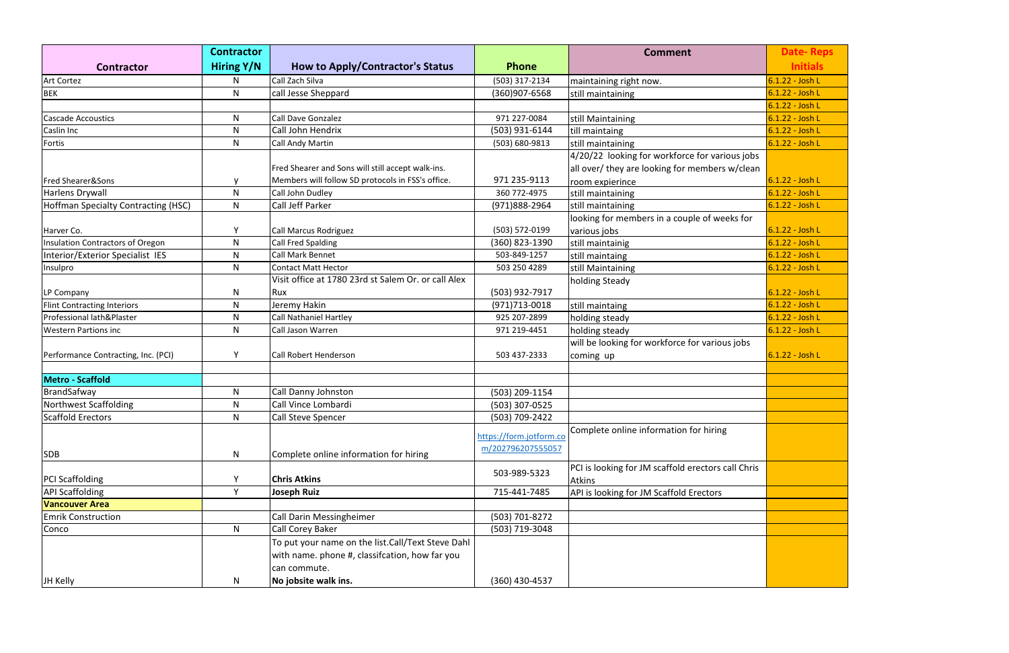|                                     | <b>Contractor</b> |                                                     |                         | <b>Comment</b>                                     | <b>Date-Reps</b>  |
|-------------------------------------|-------------------|-----------------------------------------------------|-------------------------|----------------------------------------------------|-------------------|
| <b>Contractor</b>                   | <b>Hiring Y/N</b> | <b>How to Apply/Contractor's Status</b>             | Phone                   |                                                    | <b>Initials</b>   |
| <b>Art Cortez</b>                   | N                 | Call Zach Silva                                     | (503) 317-2134          | maintaining right now.                             | 6.1.22 - Josh L   |
| <b>BEK</b>                          | N                 | call Jesse Sheppard                                 | (360)907-6568           | still maintaining                                  | 6.1.22 - Josh L   |
|                                     |                   |                                                     |                         |                                                    | 6.1.22 - Josh L   |
| <b>Cascade Accoustics</b>           | N                 | Call Dave Gonzalez                                  | 971 227-0084            | still Maintaining                                  | 6.1.22 - Josh L   |
| Caslin Inc                          | N                 | Call John Hendrix                                   | (503) 931-6144          | till maintaing                                     | 6.1.22 - Josh L   |
| Fortis                              | N                 | Call Andy Martin                                    | $(503) 680 - 9813$      | still maintaining                                  | 6.1.22 - Josh L   |
|                                     |                   |                                                     |                         | 4/20/22 looking for workforce for various jobs     |                   |
|                                     |                   | Fred Shearer and Sons will still accept walk-ins.   |                         | all over/ they are looking for members w/clean     |                   |
| <b>Fred Shearer&amp;Sons</b>        | V                 | Members will follow SD protocols in FSS's office.   | 971 235-9113            | room expierince                                    | 6.1.22 - Josh L   |
| Harlens Drywall                     | $\mathsf{N}$      | Call John Dudley                                    | 360 772-4975            | still maintaining                                  | 6.1.22 - Josh L   |
| Hoffman Specialty Contracting (HSC) | N                 | <b>Call Jeff Parker</b>                             | (971)888-2964           | still maintaining                                  | 6.1.22 - Josh L   |
|                                     |                   |                                                     |                         | looking for members in a couple of weeks for       |                   |
| Harver Co.                          | Y                 | Call Marcus Rodriguez                               | (503) 572-0199          | various jobs                                       | 6.1.22 - Josh L   |
| Insulation Contractors of Oregon    | N                 | <b>Call Fred Spalding</b>                           | (360) 823-1390          | still maintainig                                   | 6.1.22 - Josh L   |
| Interior/Exterior Specialist IES    | N                 | <b>Call Mark Bennet</b>                             | 503-849-1257            | still maintaing                                    | 6.1.22 - Josh L   |
| Insulpro                            | N.                | Contact Matt Hector                                 | 503 250 4289            | still Maintaining                                  | 6.1.22 - Josh L   |
|                                     |                   | Visit office at 1780 23rd st Salem Or. or call Alex |                         | holding Steady                                     |                   |
| LP Company                          | N                 | Rux                                                 | (503) 932-7917          |                                                    | 6.1.22 - Josh L   |
| <b>Flint Contracting Interiors</b>  | N                 | Jeremy Hakin                                        | $(971)713 - 0018$       | still maintaing                                    | $6.1.22 -$ Josh L |
| Professional lath&Plaster           | N                 | Call Nathaniel Hartley                              | 925 207-2899            | holding steady                                     | 6.1.22 - Josh L   |
| <b>Western Partions inc</b>         | N                 | Call Jason Warren                                   | 971 219-4451            | holding steady                                     | $6.1.22 -$ Josh L |
|                                     |                   |                                                     |                         | will be looking for workforce for various jobs     |                   |
| Performance Contracting, Inc. (PCI) | Y                 | Call Robert Henderson                               | 503 437-2333            | coming up                                          | 6.1.22 - Josh L   |
|                                     |                   |                                                     |                         |                                                    |                   |
| Metro - Scaffold                    |                   |                                                     |                         |                                                    |                   |
| BrandSafway                         | N                 | Call Danny Johnston                                 | (503) 209-1154          |                                                    |                   |
| Northwest Scaffolding               | N                 | Call Vince Lombardi                                 | (503) 307-0525          |                                                    |                   |
| <b>Scaffold Erectors</b>            | $\mathsf{N}$      | Call Steve Spencer                                  | (503) 709-2422          |                                                    |                   |
|                                     |                   |                                                     |                         | Complete online information for hiring             |                   |
|                                     |                   |                                                     | https://form.jotform.co |                                                    |                   |
| <b>SDB</b>                          | N                 | Complete online information for hiring              | m/202796207555057       |                                                    |                   |
|                                     |                   |                                                     |                         | PCI is looking for JM scaffold erectors call Chris |                   |
| <b>PCI Scaffolding</b>              | Y                 | <b>Chris Atkins</b>                                 | 503-989-5323            | <b>Atkins</b>                                      |                   |
| <b>API Scaffolding</b>              | Y                 | Joseph Ruiz                                         | 715-441-7485            | API is looking for JM Scaffold Erectors            |                   |
| <b>Vancouver Area</b>               |                   |                                                     |                         |                                                    |                   |
| <b>Emrik Construction</b>           |                   | <b>Call Darin Messingheimer</b>                     | (503) 701-8272          |                                                    |                   |
| Conco                               | N                 | Call Corey Baker                                    | (503) 719-3048          |                                                    |                   |
|                                     |                   | To put your name on the list.Call/Text Steve Dahl   |                         |                                                    |                   |
|                                     |                   | with name. phone #, classifcation, how far you      |                         |                                                    |                   |
|                                     |                   | can commute.                                        |                         |                                                    |                   |
| JH Kelly                            | N                 | No jobsite walk ins.                                | (360) 430-4537          |                                                    |                   |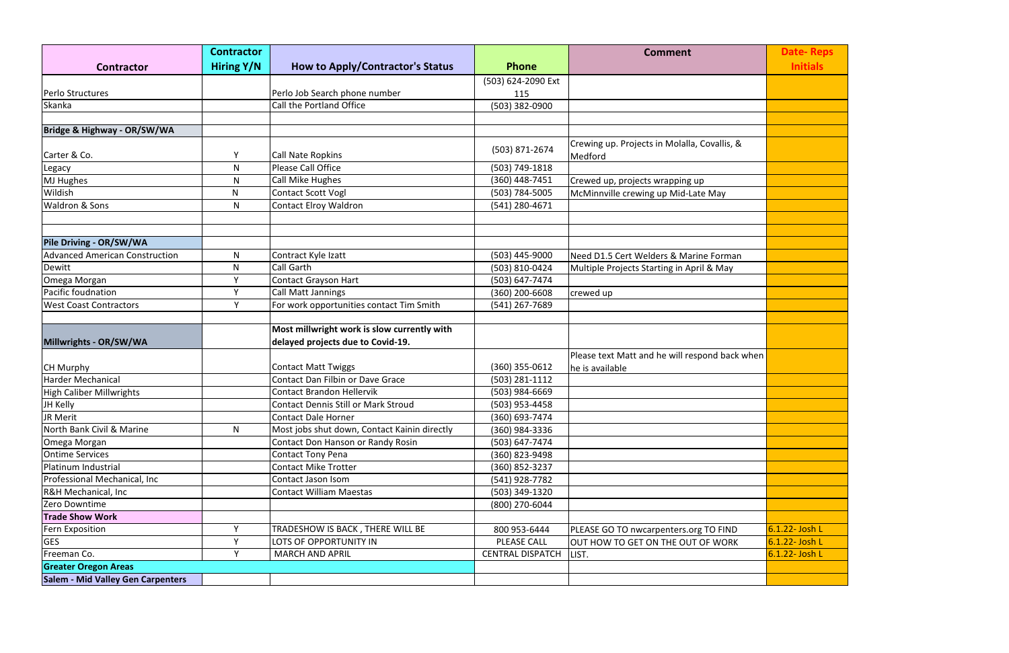|                                          | <b>Contractor</b> |                                              |                         | <b>Comment</b>                                          | <b>Date-Reps</b> |
|------------------------------------------|-------------------|----------------------------------------------|-------------------------|---------------------------------------------------------|------------------|
| <b>Contractor</b>                        | Hiring Y/N        | <b>How to Apply/Contractor's Status</b>      | <b>Phone</b>            |                                                         | <b>Initials</b>  |
|                                          |                   |                                              | (503) 624-2090 Ext      |                                                         |                  |
| Perlo Structures                         |                   | Perlo Job Search phone number                | 115                     |                                                         |                  |
| Skanka                                   |                   | Call the Portland Office                     | (503) 382-0900          |                                                         |                  |
|                                          |                   |                                              |                         |                                                         |                  |
| Bridge & Highway - OR/SW/WA              |                   |                                              |                         |                                                         |                  |
| Carter & Co.                             | Υ                 | Call Nate Ropkins                            | (503) 871-2674          | Crewing up. Projects in Molalla, Covallis, &<br>Medford |                  |
| Legacy                                   | N                 | Please Call Office                           | (503) 749-1818          |                                                         |                  |
| MJ Hughes                                | N                 | Call Mike Hughes                             | (360) 448-7451          | Crewed up, projects wrapping up                         |                  |
| Wildish                                  | N                 | <b>Contact Scott Vogl</b>                    | (503) 784-5005          | McMinnville crewing up Mid-Late May                     |                  |
| <b>Waldron &amp; Sons</b>                | N                 | <b>Contact Elroy Waldron</b>                 | (541) 280-4671          |                                                         |                  |
|                                          |                   |                                              |                         |                                                         |                  |
| Pile Driving - OR/SW/WA                  |                   |                                              |                         |                                                         |                  |
| <b>Advanced American Construction</b>    | N                 | Contract Kyle Izatt                          | (503) 445-9000          | Need D1.5 Cert Welders & Marine Forman                  |                  |
| Dewitt                                   | N                 | <b>Call Garth</b>                            | (503) 810-0424          | Multiple Projects Starting in April & May               |                  |
| Omega Morgan                             | Y                 | <b>Contact Grayson Hart</b>                  | (503) 647-7474          |                                                         |                  |
| Pacific foudnation                       | Y                 | <b>Call Matt Jannings</b>                    | (360) 200-6608          | crewed up                                               |                  |
| <b>West Coast Contractors</b>            | Υ                 | For work opportunities contact Tim Smith     | (541) 267-7689          |                                                         |                  |
|                                          |                   |                                              |                         |                                                         |                  |
|                                          |                   | Most millwright work is slow currently with  |                         |                                                         |                  |
| Millwrights - OR/SW/WA                   |                   | delayed projects due to Covid-19.            |                         |                                                         |                  |
|                                          |                   |                                              |                         | Please text Matt and he will respond back when          |                  |
| <b>CH Murphy</b>                         |                   | <b>Contact Matt Twiggs</b>                   | (360) 355-0612          | he is available                                         |                  |
| <b>Harder Mechanical</b>                 |                   | Contact Dan Filbin or Dave Grace             | (503) 281-1112          |                                                         |                  |
| High Caliber Millwrights                 |                   | <b>Contact Brandon Hellervik</b>             | (503) 984-6669          |                                                         |                  |
| JH Kelly                                 |                   | <b>Contact Dennis Still or Mark Stroud</b>   | (503) 953-4458          |                                                         |                  |
| JR Merit                                 |                   | Contact Dale Horner                          | (360) 693-7474          |                                                         |                  |
| North Bank Civil & Marine                | N                 | Most jobs shut down, Contact Kainin directly | (360) 984-3336          |                                                         |                  |
| Omega Morgan                             |                   | Contact Don Hanson or Randy Rosin            | (503) 647-7474          |                                                         |                  |
| <b>Ontime Services</b>                   |                   | <b>Contact Tony Pena</b>                     | (360) 823-9498          |                                                         |                  |
| Platinum Industrial                      |                   | <b>Contact Mike Trotter</b>                  | (360) 852-3237          |                                                         |                  |
| Professional Mechanical, Inc             |                   | Contact Jason Isom                           | (541) 928-7782          |                                                         |                  |
| R&H Mechanical, Inc                      |                   | <b>Contact William Maestas</b>               | (503) 349-1320          |                                                         |                  |
| Zero Downtime                            |                   |                                              | (800) 270-6044          |                                                         |                  |
| <b>Trade Show Work</b>                   |                   |                                              |                         |                                                         |                  |
| Fern Exposition                          | Y                 | TRADESHOW IS BACK, THERE WILL BE             | 800 953-6444            | PLEASE GO TO nwcarpenters.org TO FIND                   | 6.1.22- Josh L   |
| <b>GES</b>                               | Y                 | LOTS OF OPPORTUNITY IN                       | PLEASE CALL             | OUT HOW TO GET ON THE OUT OF WORK                       | 6.1.22- Josh L   |
| Freeman Co.                              | Y                 | <b>MARCH AND APRIL</b>                       | <b>CENTRAL DISPATCH</b> | LIST.                                                   | 6.1.22- Josh L   |
| <b>Greater Oregon Areas</b>              |                   |                                              |                         |                                                         |                  |
| <b>Salem - Mid Valley Gen Carpenters</b> |                   |                                              |                         |                                                         |                  |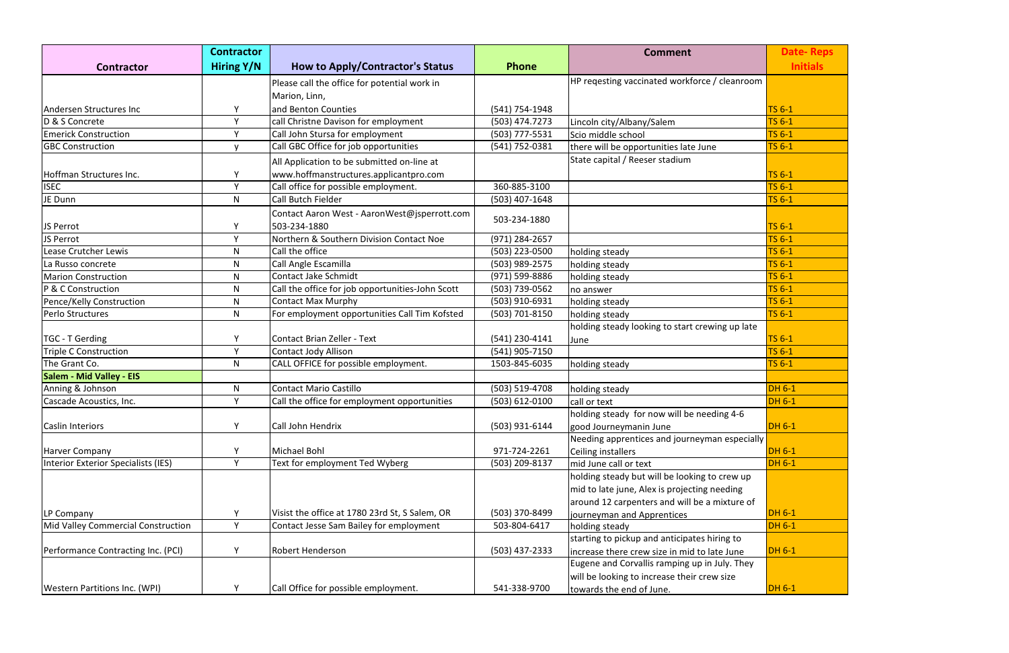|                                            | <b>Contractor</b> |                                                            |                | <b>Comment</b>                                  | <b>Date-Reps</b>               |
|--------------------------------------------|-------------------|------------------------------------------------------------|----------------|-------------------------------------------------|--------------------------------|
| <b>Contractor</b>                          | Hiring Y/N        | <b>How to Apply/Contractor's Status</b>                    | <b>Phone</b>   |                                                 | <b>Initials</b>                |
|                                            |                   | Please call the office for potential work in               |                | HP regesting vaccinated workforce / cleanroom   |                                |
|                                            |                   | Marion, Linn,                                              |                |                                                 |                                |
| Andersen Structures Inc                    | Y                 | and Benton Counties                                        | (541) 754-1948 |                                                 | <b>TS 6-1</b>                  |
| D & S Concrete                             | Y                 | call Christne Davison for employment                       | (503) 474.7273 | Lincoln city/Albany/Salem                       | <b>TS 6-1</b>                  |
| <b>Emerick Construction</b>                | Y                 | Call John Stursa for employment                            | (503) 777-5531 | Scio middle school                              | $TS6-1$                        |
| <b>GBC Construction</b>                    | $\mathsf{v}$      | Call GBC Office for job opportunities                      | (541) 752-0381 | there will be opportunities late June           | TS 6-1                         |
|                                            |                   | All Application to be submitted on-line at                 |                | State capital / Reeser stadium                  |                                |
|                                            | Y                 |                                                            |                |                                                 |                                |
| Hoffman Structures Inc.                    | Y                 | www.hoffmanstructures.applicantpro.com                     |                |                                                 | <b>TS 6-1</b><br><b>TS 6-1</b> |
| <b>ISEC</b><br>JE Dunn                     | N.                | Call office for possible employment.<br>Call Butch Fielder | 360-885-3100   |                                                 | TS 6-1                         |
|                                            |                   |                                                            | (503) 407-1648 |                                                 |                                |
|                                            |                   | Contact Aaron West - AaronWest@jsperrott.com               | 503-234-1880   |                                                 |                                |
| JS Perrot                                  | Y                 | 503-234-1880                                               |                |                                                 | <b>TS 6-1</b>                  |
| JS Perrot                                  | Y                 | Northern & Southern Division Contact Noe                   | (971) 284-2657 |                                                 | TS 6-1                         |
| Lease Crutcher Lewis                       | N                 | Call the office                                            | (503) 223-0500 | holding steady                                  | TS 6-1                         |
| La Russo concrete                          | N                 | Call Angle Escamilla                                       | (503) 989-2575 | holding steady                                  | TS 6-1                         |
| <b>Marion Construction</b>                 | N.                | Contact Jake Schmidt                                       | (971) 599-8886 | holding steady                                  | TS 6-1                         |
| P & C Construction                         | N                 | Call the office for job opportunities-John Scott           | (503) 739-0562 | no answer                                       | <b>TS 6-1</b>                  |
| Pence/Kelly Construction                   | N.                | <b>Contact Max Murphy</b>                                  | (503) 910-6931 | holding steady                                  | TS 6-1                         |
| Perlo Structures                           | N                 | For employment opportunities Call Tim Kofsted              | (503) 701-8150 | holding steady                                  | <b>TS 6-1</b>                  |
|                                            |                   |                                                            |                | holding steady looking to start crewing up late |                                |
| TGC - T Gerding                            | Y                 | Contact Brian Zeller - Text                                | (541) 230-4141 | June                                            | <b>TS 6-1</b>                  |
| <b>Triple C Construction</b>               | Y                 | Contact Jody Allison                                       | (541) 905-7150 |                                                 | TS 6-1                         |
| The Grant Co.                              | N                 | CALL OFFICE for possible employment.                       | 1503-845-6035  | holding steady                                  | <b>TS 6-1</b>                  |
| <b>Salem - Mid Valley - EIS</b>            |                   |                                                            |                |                                                 |                                |
| Anning & Johnson                           | N                 | <b>Contact Mario Castillo</b>                              | (503) 519-4708 | holding steady                                  | <b>DH 6-1</b>                  |
| Cascade Acoustics, Inc.                    | Y                 | Call the office for employment opportunities               | (503) 612-0100 | call or text                                    | <b>DH 6-1</b>                  |
|                                            |                   |                                                            |                | holding steady for now will be needing 4-6      |                                |
| <b>Caslin Interiors</b>                    | Y                 | Call John Hendrix                                          | (503) 931-6144 | good Journeymanin June                          | <b>DH 6-1</b>                  |
|                                            |                   |                                                            |                | Needing apprentices and journeyman especially   |                                |
| <b>Harver Company</b>                      | Y                 | Michael Bohl                                               | 971-724-2261   | Ceiling installers                              | $DH 6-1$                       |
| <b>Interior Exterior Specialists (IES)</b> | Y                 | Text for employment Ted Wyberg                             | (503) 209-8137 | mid June call or text                           | <b>DH 6-1</b>                  |
|                                            |                   |                                                            |                | holding steady but will be looking to crew up   |                                |
|                                            |                   |                                                            |                | mid to late june, Alex is projecting needing    |                                |
|                                            |                   |                                                            |                | around 12 carpenters and will be a mixture of   |                                |
| LP Company                                 | Y                 | Visist the office at 1780 23rd St, S Salem, OR             | (503) 370-8499 | journeyman and Apprentices                      | <b>DH 6-1</b>                  |
| Mid Valley Commercial Construction         | Y                 | Contact Jesse Sam Bailey for employment                    | 503-804-6417   | holding steady                                  | <b>DH 6-1</b>                  |
|                                            |                   |                                                            |                | starting to pickup and anticipates hiring to    |                                |
| Performance Contracting Inc. (PCI)         | Y                 | <b>Robert Henderson</b>                                    | (503) 437-2333 | increase there crew size in mid to late June    | $DH 6-1$                       |
|                                            |                   |                                                            |                | Eugene and Corvallis ramping up in July. They   |                                |
|                                            |                   |                                                            |                | will be looking to increase their crew size     |                                |
| <b>Western Partitions Inc. (WPI)</b>       | Υ                 | Call Office for possible employment.                       | 541-338-9700   | towards the end of June.                        | $DH 6-1$                       |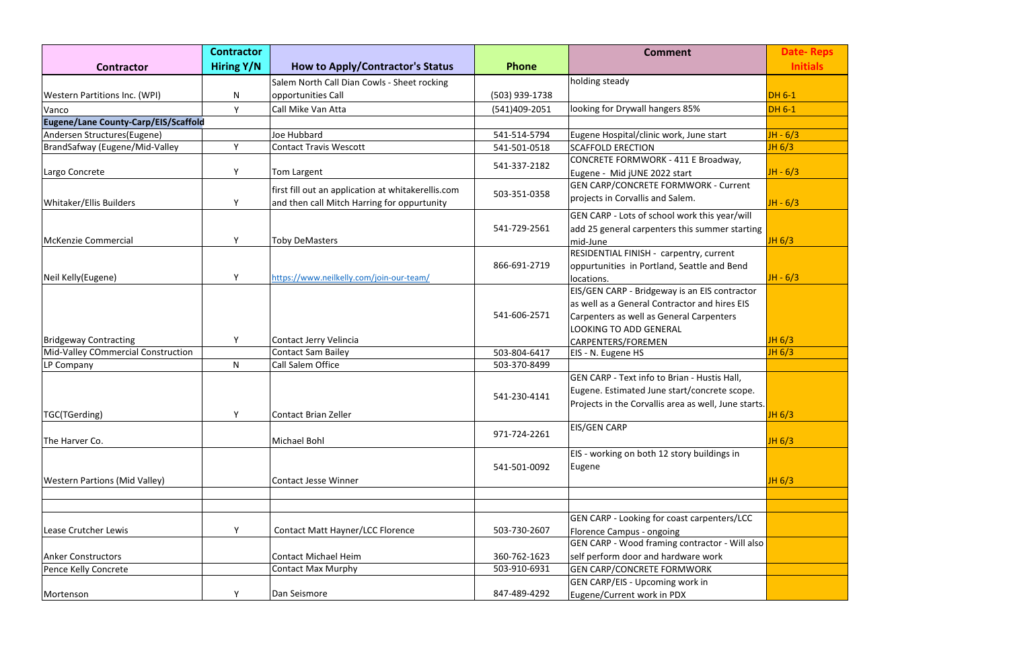|                                             | <b>Contractor</b> |                                                    |                | <b>Comment</b>                                       | <b>Date-Reps</b> |
|---------------------------------------------|-------------------|----------------------------------------------------|----------------|------------------------------------------------------|------------------|
| <b>Contractor</b>                           | <b>Hiring Y/N</b> | <b>How to Apply/Contractor's Status</b>            | <b>Phone</b>   |                                                      | <b>Initials</b>  |
|                                             |                   | Salem North Call Dian Cowls - Sheet rocking        |                | holding steady                                       |                  |
| <b>Western Partitions Inc. (WPI)</b>        | N                 | opportunities Call                                 | (503) 939-1738 |                                                      | <b>DH 6-1</b>    |
| Vanco                                       | Y                 | Call Mike Van Atta                                 | (541)409-2051  | looking for Drywall hangers 85%                      | <b>DH 6-1</b>    |
| <b>Eugene/Lane County-Carp/EIS/Scaffold</b> |                   |                                                    |                |                                                      |                  |
| Andersen Structures(Eugene)                 |                   | Joe Hubbard                                        | 541-514-5794   | Eugene Hospital/clinic work, June start              | $JH - 6/3$       |
| BrandSafway (Eugene/Mid-Valley              | $\vee$            | <b>Contact Travis Wescott</b>                      | 541-501-0518   | <b>SCAFFOLD ERECTION</b>                             | JH 6/3           |
|                                             |                   |                                                    | 541-337-2182   | CONCRETE FORMWORK - 411 E Broadway,                  |                  |
| Largo Concrete                              | Y                 | Tom Largent                                        |                | Eugene - Mid jUNE 2022 start                         | $JH - 6/3$       |
|                                             |                   | first fill out an application at whitakerellis.com |                | <b>GEN CARP/CONCRETE FORMWORK - Current</b>          |                  |
| Whitaker/Ellis Builders                     | Y                 | and then call Mitch Harring for oppurtunity        | 503-351-0358   | projects in Corvallis and Salem.                     | $JH - 6/3$       |
|                                             |                   |                                                    |                | GEN CARP - Lots of school work this year/will        |                  |
|                                             |                   |                                                    | 541-729-2561   | add 25 general carpenters this summer starting       |                  |
| McKenzie Commercial                         | Y                 | <b>Toby DeMasters</b>                              |                | mid-June                                             | JH 6/3           |
|                                             |                   |                                                    |                | <b>RESIDENTIAL FINISH - carpentry, current</b>       |                  |
|                                             |                   |                                                    | 866-691-2719   | oppurtunities in Portland, Seattle and Bend          |                  |
| Neil Kelly(Eugene)                          | Y                 | https://www.neilkelly.com/join-our-team/           |                | locations.                                           | $JH - 6/3$       |
|                                             |                   |                                                    | 541-606-2571   | EIS/GEN CARP - Bridgeway is an EIS contractor        |                  |
|                                             |                   |                                                    |                | as well as a General Contractor and hires EIS        |                  |
|                                             |                   |                                                    |                | Carpenters as well as General Carpenters             |                  |
|                                             |                   |                                                    |                | <b>LOOKING TO ADD GENERAL</b>                        |                  |
| <b>Bridgeway Contracting</b>                | Y                 | Contact Jerry Velincia                             |                | CARPENTERS/FOREMEN                                   | JH 6/3           |
| Mid-Valley COmmercial Construction          |                   | <b>Contact Sam Bailey</b>                          | 503-804-6417   | EIS - N. Eugene HS                                   | JH 6/3           |
| LP Company                                  | N                 | Call Salem Office                                  | 503-370-8499   |                                                      |                  |
|                                             |                   |                                                    |                | GEN CARP - Text info to Brian - Hustis Hall,         |                  |
|                                             |                   |                                                    | 541-230-4141   | Eugene. Estimated June start/concrete scope.         |                  |
|                                             |                   |                                                    |                | Projects in the Corvallis area as well, June starts. |                  |
| TGC(TGerding)                               |                   | Contact Brian Zeller                               |                |                                                      | JH 6/3           |
|                                             |                   |                                                    | 971-724-2261   | <b>EIS/GEN CARP</b>                                  |                  |
| The Harver Co.                              |                   | Michael Bohl                                       |                |                                                      | JH 6/3           |
|                                             |                   |                                                    |                | EIS - working on both 12 story buildings in          |                  |
|                                             |                   |                                                    | 541-501-0092   | Eugene                                               |                  |
| <b>Western Partions (Mid Valley)</b>        |                   | <b>Contact Jesse Winner</b>                        |                |                                                      | JH 6/3           |
|                                             |                   |                                                    |                |                                                      |                  |
|                                             |                   |                                                    |                |                                                      |                  |
|                                             |                   |                                                    |                | GEN CARP - Looking for coast carpenters/LCC          |                  |
| Lease Crutcher Lewis                        | Y                 | Contact Matt Hayner/LCC Florence                   | 503-730-2607   | Florence Campus - ongoing                            |                  |
|                                             |                   |                                                    |                | GEN CARP - Wood framing contractor - Will also       |                  |
| <b>Anker Constructors</b>                   |                   | <b>Contact Michael Heim</b>                        | 360-762-1623   | self perform door and hardware work                  |                  |
| Pence Kelly Concrete                        |                   | <b>Contact Max Murphy</b>                          | 503-910-6931   | <b>GEN CARP/CONCRETE FORMWORK</b>                    |                  |
|                                             |                   |                                                    |                | <b>GEN CARP/EIS - Upcoming work in</b>               |                  |
| Mortenson                                   | Y                 | Dan Seismore                                       | 847-489-4292   | Eugene/Current work in PDX                           |                  |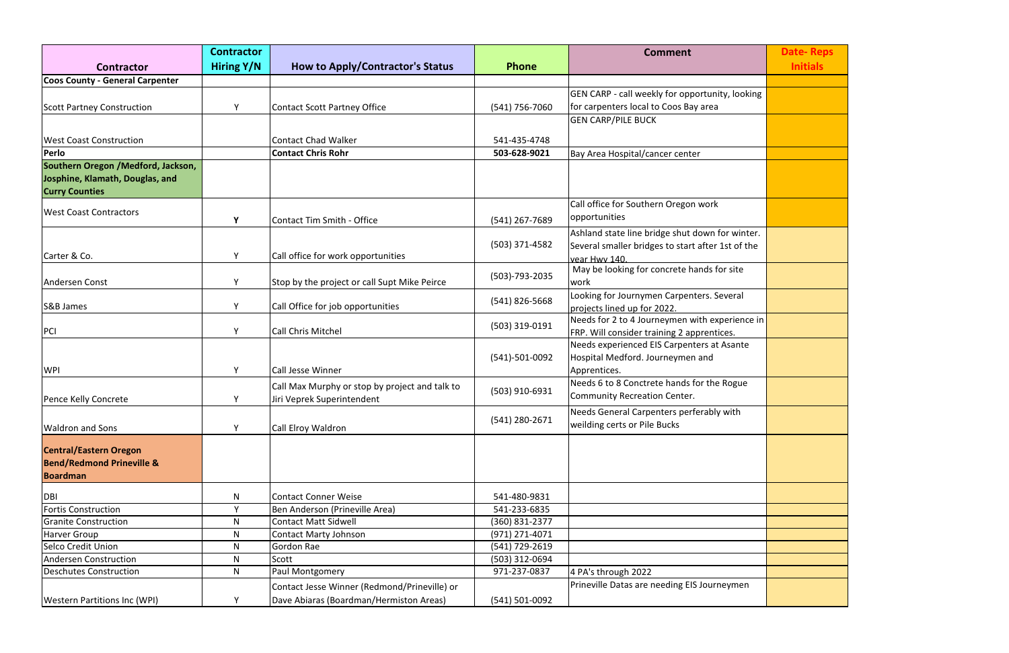|                                        | <b>Contractor</b> |                                                |                | <b>Comment</b>                                    | <b>Date-Reps</b> |
|----------------------------------------|-------------------|------------------------------------------------|----------------|---------------------------------------------------|------------------|
| <b>Contractor</b>                      | Hiring Y/N        | <b>How to Apply/Contractor's Status</b>        | <b>Phone</b>   |                                                   | <b>Initials</b>  |
| <b>Coos County - General Carpenter</b> |                   |                                                |                |                                                   |                  |
|                                        |                   |                                                |                | GEN CARP - call weekly for opportunity, looking   |                  |
| Scott Partney Construction             | Y                 | Contact Scott Partney Office                   | (541) 756-7060 | for carpenters local to Coos Bay area             |                  |
|                                        |                   |                                                |                | <b>GEN CARP/PILE BUCK</b>                         |                  |
|                                        |                   |                                                |                |                                                   |                  |
| <b>West Coast Construction</b>         |                   | Contact Chad Walker                            | 541-435-4748   |                                                   |                  |
| Perlo                                  |                   | <b>Contact Chris Rohr</b>                      | 503-628-9021   | Bay Area Hospital/cancer center                   |                  |
| Southern Oregon / Medford, Jackson,    |                   |                                                |                |                                                   |                  |
| Josphine, Klamath, Douglas, and        |                   |                                                |                |                                                   |                  |
| <b>Curry Counties</b>                  |                   |                                                |                |                                                   |                  |
| <b>West Coast Contractors</b>          |                   |                                                |                | Call office for Southern Oregon work              |                  |
|                                        | Y                 | Contact Tim Smith - Office                     | (541) 267-7689 | opportunities                                     |                  |
|                                        |                   |                                                |                | Ashland state line bridge shut down for winter.   |                  |
|                                        |                   |                                                | (503) 371-4582 | Several smaller bridges to start after 1st of the |                  |
| Carter & Co.                           | Υ                 | Call office for work opportunities             |                | vear Hwy 140.                                     |                  |
|                                        |                   |                                                | (503)-793-2035 | May be looking for concrete hands for site        |                  |
| Andersen Const                         | Υ                 | Stop by the project or call Supt Mike Peirce   |                | work                                              |                  |
|                                        |                   |                                                | (541) 826-5668 | Looking for Journymen Carpenters. Several         |                  |
| <b>S&amp;B James</b>                   | Y                 | Call Office for job opportunities              |                | projects lined up for 2022.                       |                  |
|                                        |                   |                                                | (503) 319-0191 | Needs for 2 to 4 Journeymen with experience in    |                  |
| PCI                                    | Y                 | <b>Call Chris Mitchel</b>                      |                | FRP. Will consider training 2 apprentices.        |                  |
|                                        |                   |                                                |                | Needs experienced EIS Carpenters at Asante        |                  |
|                                        |                   |                                                | (541)-501-0092 | Hospital Medford. Journeymen and                  |                  |
| <b>WPI</b>                             | Y                 | Call Jesse Winner                              |                | Apprentices.                                      |                  |
|                                        |                   | Call Max Murphy or stop by project and talk to | (503) 910-6931 | Needs 6 to 8 Conctrete hands for the Rogue        |                  |
| Pence Kelly Concrete                   | Υ                 | Jiri Veprek Superintendent                     |                | Community Recreation Center.                      |                  |
|                                        |                   |                                                |                | Needs General Carpenters perferably with          |                  |
| <b>Waldron and Sons</b>                | Y                 | Call Elroy Waldron                             | (541) 280-2671 | weilding certs or Pile Bucks                      |                  |
|                                        |                   |                                                |                |                                                   |                  |
| <b>Central/Eastern Oregon</b>          |                   |                                                |                |                                                   |                  |
| <b>Bend/Redmond Prineville &amp;</b>   |                   |                                                |                |                                                   |                  |
| <b>Boardman</b>                        |                   |                                                |                |                                                   |                  |
| DBI                                    | N                 | Contact Conner Weise                           | 541-480-9831   |                                                   |                  |
| <b>Fortis Construction</b>             | Y                 | Ben Anderson (Prineville Area)                 | 541-233-6835   |                                                   |                  |
| <b>Granite Construction</b>            | N                 | Contact Matt Sidwell                           | (360) 831-2377 |                                                   |                  |
| <b>Harver Group</b>                    | N                 | Contact Marty Johnson                          | (971) 271-4071 |                                                   |                  |
| Selco Credit Union                     | N                 | Gordon Rae                                     | (541) 729-2619 |                                                   |                  |
| <b>Andersen Construction</b>           | N                 | Scott                                          | (503) 312-0694 |                                                   |                  |
| <b>Deschutes Construction</b>          | N                 | Paul Montgomery                                | 971-237-0837   | 4 PA's through 2022                               |                  |
|                                        |                   | Contact Jesse Winner (Redmond/Prineville) or   |                | Prineville Datas are needing EIS Journeymen       |                  |
|                                        |                   | Dave Abiaras (Boardman/Hermiston Areas)        |                |                                                   |                  |
| <b>Western Partitions Inc (WPI)</b>    |                   |                                                | (541) 501-0092 |                                                   |                  |